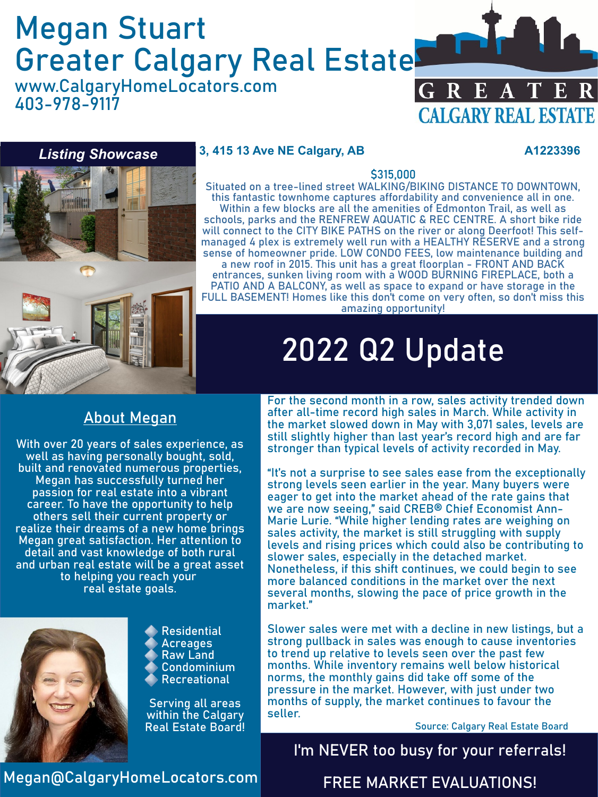## Megan Stuart Greater Calgary Real Estate

www.CalgaryHomeLocators.com 403-978-9117



#### *Listing Showcase*

#### **3, 415 13 Ave NE Calgary, AB A1223396**



#### \$315,000

Situated on a tree-lined street WALKING/BIKING DISTANCE TO DOWNTOWN, this fantastic townhome captures affordability and convenience all in one. Within a few blocks are all the amenities of Edmonton Trail, as well as schools, parks and the RENFREW AQUATIC & REC CENTRE. A short bike ride will connect to the CITY BIKE PATHS on the river or along Deerfoot! This selfmanaged 4 plex is extremely well run with a HEALTHY RESERVE and a strong sense of homeowner pride. LOW CONDO FEES, low maintenance building and a new roof in 2015. This unit has a great floorplan - FRONT AND BACK entrances, sunken living room with a WOOD BURNING FIREPLACE, both a PATIO AND A BALCONY, as well as space to expand or have storage in the FULL BASEMENT! Homes like this don't come on very often, so don't miss this amazing opportunity!

# 2022 Q2 Update

#### About Megan

With over 20 years of sales experience, as well as having personally bought, sold, built and renovated numerous properties, Megan has successfully turned her passion for real estate into a vibrant career. To have the opportunity to help others sell their current property or realize their dreams of a new home brings Megan great satisfaction. Her attention to detail and vast knowledge of both rural and urban real estate will be a great asset to helping you reach your real estate goals.



Residential **Acreages** Raw Land Condominium Recreational

Serving all areas within the Calgary Real Estate Board!

For the second month in a row, sales activity trended down after all-time record high sales in March. While activity in the market slowed down in May with 3,071 sales, levels are still slightly higher than last year's record high and are far stronger than typical levels of activity recorded in May.

"It's not a surprise to see sales ease from the exceptionally strong levels seen earlier in the year. Many buyers were eager to get into the market ahead of the rate gains that we are now seeing," said CREB® Chief Economist Ann-Marie Lurie. "While higher lending rates are weighing on sales activity, the market is still struggling with supply levels and rising prices which could also be contributing to slower sales, especially in the detached market. Nonetheless, if this shift continues, we could begin to see more balanced conditions in the market over the next several months, slowing the pace of price growth in the market."

Slower sales were met with a decline in new listings, but a strong pullback in sales was enough to cause inventories to trend up relative to levels seen over the past few months. While inventory remains well below historical norms, the monthly gains did take off some of the pressure in the market. However, with just under two months of supply, the market continues to favour the seller.

Source: Calgary Real Estate Board

#### I'm NEVER too busy for your referrals!

Megan@CalgaryHomeLocators.com

FREE MARKET EVALUATIONS!